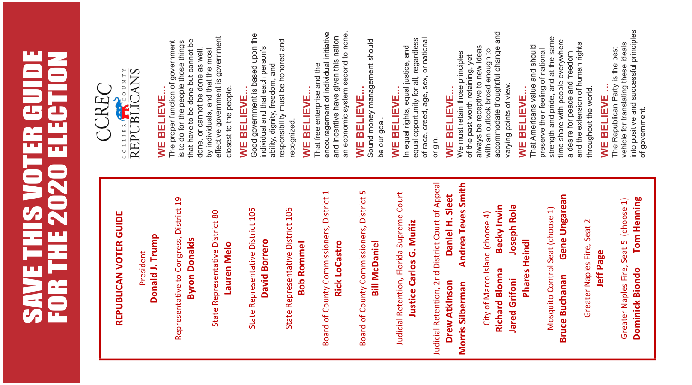# **SAVE THIS VOTER GUIDE<br>FOR THE 2020 ELECTION** SAVE THIS VOTER GUIDE FOR THE 2020 ELECTION

## REPUBLICAN VOTER GUIDE REPUBLICAN VOTER GUIDE

Donald J. Trump Donald J. Trump President President

Representative to Congress, District 19 Representative to Congress, District 19 **Byron Donalds** Byron Donalds

State Representative District 80 State Representative District 80 Lauren Melo Lauren Melo State Representative District 105 State Representative District 105 **David Borrero** David Borrero

State Representative District 106 State Representative District 106 **Bob Rommel** Bob Rommel

Board of County Commissioners, District 1 Board of County Commissioners, District 1 **Rick LoCastro** Rick LoCastro Board of County Commissioners, District 5 Board of County Commissioners, District 5 **Bill McDaniel** Bill McDaniel

Judicial Retention, Florida Supreme Court Judicial Retention, Florida Supreme Court Justice Carlos G. Muñiz Justice Carlos G. Muñiz Judicial Retention, 2nd District Court of Appeal Andrea Teves Smith Judicial Retention, 2nd District Court of Appeal Morris Silberman Andrea Teves Smith Daniel H. Sleet Drew Atkinson Daniel H. Sleet **Drew Atkinson** Morris Silberman

Becky Irwin Joseph Rola Richard Blonna Becky Irwin Jared Grifoni Joseph Rola City of Marco Island (choose 4) City of Marco Island (choose 4) Phares Heindl **Richard Blonna Jared Grifoni** 

**Phares Heindl** 

Gene Ungarean Mosquito Control Seat (choose 1) Mosquito Control Seat (choose 1)

**Bruce Buchanan** 

Bruce Buchanan Gene Ungarean

Greater Naples Fire, Seat 2 Jeff Page

Greater Naples Fire, Seat 2

Greater Naples Fire, Seat 5 (choose 1) Dominick Biondo Tom Henning

Greater Naples Fire, Seat 5 (choose 1)

**Tom Henning** 

**Dominick Biondo** 

into positive and successful principles into positive and successful principles vehicle for translating these ideals vehicle for translating these ideals The Republican Party is the best The Republican Party is the best of government. of government.



## WE BELIEVE... **WE BELIEVE...**

effective government is government effective government is government The proper function of government that have to be done but cannot be is to do for the people those things The proper function of government is to do for the people those things that have to be done but cannot be done, or cannot be done as well, done, or cannot be done as well, by individuals, and that the most by individuals, and that the most closest to the people. closest to the people.

## **WE BELIEVE...** WE BELIEVE.

Good government is based upon the **VVE BELIEVE...**<br>Good government is based upon the responsibility must be honored and responsibility must be honored and individual and that each person's individual and that each person's ability, dignity, freedom, and ability, dignity, freedom, and recognized. recognized.

## **WE BELIEVE...**

encouragement of individual initiative encouragement of individual initiative an economic system second to none an economic system second to none. and incentive have given this nation and incentive have given this nation That free enterprise and the WE BELIEVE...<br>That free enterprise and the

## BELIEVE... **WE BELIEVE...** ש<br>≽

Sound money management should Sound money management should be our goal. be our goal.

## WE BELIEVE... **WE BELIEVE...**

equal opportunity for all, regardless of race, creed, age, sex, or national of race, creed, age, sex, or national In equal rights, equal justice, and<br>equal opportunity for all, regardless In equal rights, equal justice, and origin.

## WE BELIEVE... **WE BELIEVE...**

accommodate thoughtful change and accommodate thoughtful change and always be receptive to new ideas of the past worth retaining, yet<br>always be receptive to new ideas with an outlook broad enough to with an outlook broad enough to We must retain those principles We must retain those principles of the past worth retaining, yet varying points of view. varying points of view.

### BELIEVE... **WE BELIEVE...** yE<br>∕

strength and pride, and at the same strength and pride, and at the same time share with people everywhere time share with people everywhere and the extension of human rights That Americans value and should and the extension of human rights That Americans value and should preserve their feeling of national preserve their feeling of national a desire for peace and freedom a desire for peace and freedom throughout the world. throughout the world.

## f **WE BELIEVE ... WE BELIEVE**